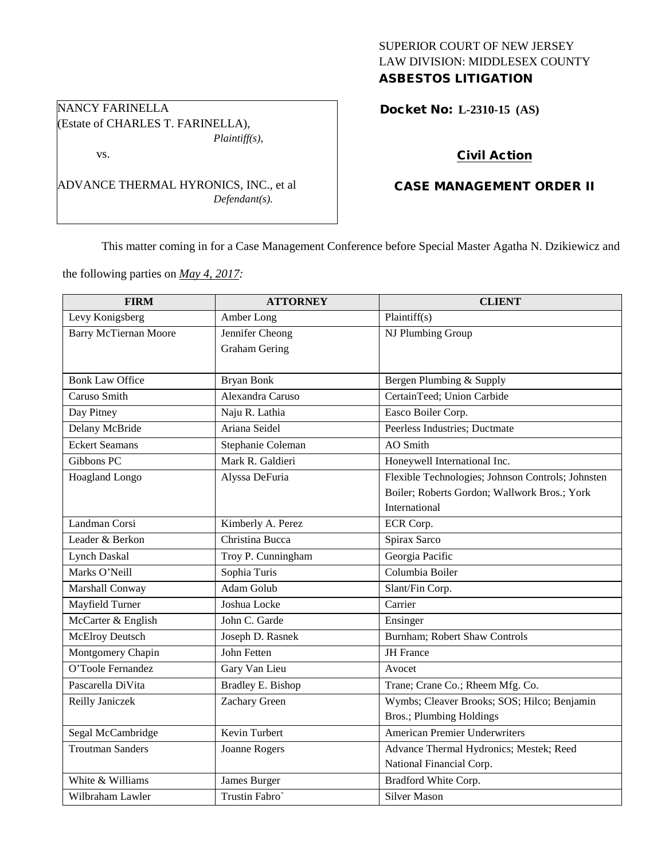# SUPERIOR COURT OF NEW JERSEY LAW DIVISION: MIDDLESEX COUNTY ASBESTOS LITIGATION

Docket No: **L-2310-15 (AS)** 

# Civil Action

# CASE MANAGEMENT ORDER II

This matter coming in for a Case Management Conference before Special Master Agatha N. Dzikiewicz and

the following parties on *May 4, 2017:*

(Estate of CHARLES T. FARINELLA),

ADVANCE THERMAL HYRONICS, INC., et al

*Plaintiff(s),*

*Defendant(s).*

NANCY FARINELLA

vs.

| <b>FIRM</b>                  | <b>ATTORNEY</b>          | <b>CLIENT</b>                                     |  |
|------------------------------|--------------------------|---------------------------------------------------|--|
| Levy Konigsberg              | Amber Long               | Plaintiff(s)                                      |  |
| <b>Barry McTiernan Moore</b> | Jennifer Cheong          | NJ Plumbing Group                                 |  |
|                              | <b>Graham Gering</b>     |                                                   |  |
|                              |                          |                                                   |  |
| <b>Bonk Law Office</b>       | <b>Bryan Bonk</b>        | Bergen Plumbing & Supply                          |  |
| Caruso Smith                 | Alexandra Caruso         | CertainTeed; Union Carbide                        |  |
| Day Pitney                   | Naju R. Lathia           | Easco Boiler Corp.                                |  |
| <b>Delany McBride</b>        | Ariana Seidel            | Peerless Industries; Ductmate                     |  |
| <b>Eckert Seamans</b>        | Stephanie Coleman        | <b>AO</b> Smith                                   |  |
| Gibbons PC                   | Mark R. Galdieri         | Honeywell International Inc.                      |  |
| Hoagland Longo               | Alyssa DeFuria           | Flexible Technologies; Johnson Controls; Johnsten |  |
|                              |                          | Boiler; Roberts Gordon; Wallwork Bros.; York      |  |
|                              |                          | International                                     |  |
| Landman Corsi                | Kimberly A. Perez        | ECR Corp.                                         |  |
| Leader & Berkon              | Christina Bucca          | Spirax Sarco                                      |  |
| <b>Lynch Daskal</b>          | Troy P. Cunningham       | Georgia Pacific                                   |  |
| Marks O'Neill                | Sophia Turis             | Columbia Boiler                                   |  |
| Marshall Conway              | Adam Golub               | Slant/Fin Corp.                                   |  |
| Mayfield Turner              | Joshua Locke             | Carrier                                           |  |
| McCarter & English           | John C. Garde            | Ensinger                                          |  |
| McElroy Deutsch              | Joseph D. Rasnek         | Burnham; Robert Shaw Controls                     |  |
| Montgomery Chapin            | John Fetten              | <b>JH</b> France                                  |  |
| O'Toole Fernandez            | Gary Van Lieu            | Avocet                                            |  |
| Pascarella DiVita            | <b>Bradley E. Bishop</b> | Trane; Crane Co.; Rheem Mfg. Co.                  |  |
| Reilly Janiczek              | Zachary Green            | Wymbs; Cleaver Brooks; SOS; Hilco; Benjamin       |  |
|                              |                          | Bros.; Plumbing Holdings                          |  |
| Segal McCambridge            | Kevin Turbert            | <b>American Premier Underwriters</b>              |  |
| <b>Troutman Sanders</b>      | Joanne Rogers            | Advance Thermal Hydronics; Mestek; Reed           |  |
|                              |                          | National Financial Corp.                          |  |
| White & Williams             | James Burger             | Bradford White Corp.                              |  |
| Wilbraham Lawler             | Trustin Fabro`           | <b>Silver Mason</b>                               |  |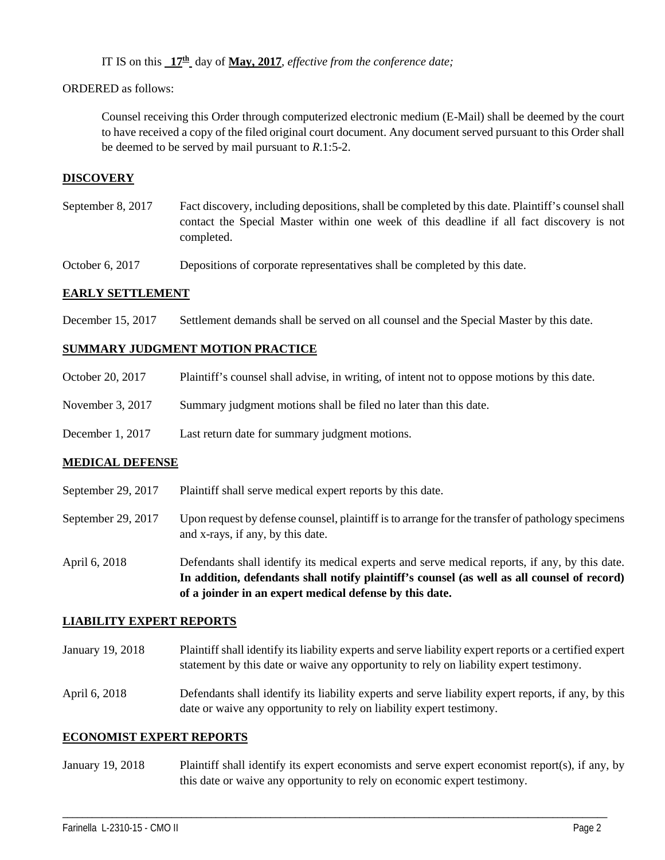IT IS on this **17th** day of **May, 2017**, *effective from the conference date;*

### ORDERED as follows:

Counsel receiving this Order through computerized electronic medium (E-Mail) shall be deemed by the court to have received a copy of the filed original court document. Any document served pursuant to this Order shall be deemed to be served by mail pursuant to *R*.1:5-2.

### **DISCOVERY**

September 8, 2017 Fact discovery, including depositions, shall be completed by this date. Plaintiff's counsel shall contact the Special Master within one week of this deadline if all fact discovery is not completed.

October 6, 2017 Depositions of corporate representatives shall be completed by this date.

#### **EARLY SETTLEMENT**

December 15, 2017 Settlement demands shall be served on all counsel and the Special Master by this date.

### **SUMMARY JUDGMENT MOTION PRACTICE**

| October 20, 2017 | Plaintiff's counsel shall advise, in writing, of intent not to oppose motions by this date. |  |  |  |
|------------------|---------------------------------------------------------------------------------------------|--|--|--|
|------------------|---------------------------------------------------------------------------------------------|--|--|--|

- November 3, 2017 Summary judgment motions shall be filed no later than this date.
- December 1, 2017 Last return date for summary judgment motions.

### **MEDICAL DEFENSE**

- September 29, 2017 Plaintiff shall serve medical expert reports by this date.
- September 29, 2017 Upon request by defense counsel, plaintiff is to arrange for the transfer of pathology specimens and x-rays, if any, by this date.
- April 6, 2018 Defendants shall identify its medical experts and serve medical reports, if any, by this date. **In addition, defendants shall notify plaintiff's counsel (as well as all counsel of record) of a joinder in an expert medical defense by this date.**

### **LIABILITY EXPERT REPORTS**

January 19, 2018 Plaintiff shall identify its liability experts and serve liability expert reports or a certified expert statement by this date or waive any opportunity to rely on liability expert testimony.

April 6, 2018 Defendants shall identify its liability experts and serve liability expert reports, if any, by this date or waive any opportunity to rely on liability expert testimony.

#### **ECONOMIST EXPERT REPORTS**

January 19, 2018 Plaintiff shall identify its expert economists and serve expert economist report(s), if any, by this date or waive any opportunity to rely on economic expert testimony.

\_\_\_\_\_\_\_\_\_\_\_\_\_\_\_\_\_\_\_\_\_\_\_\_\_\_\_\_\_\_\_\_\_\_\_\_\_\_\_\_\_\_\_\_\_\_\_\_\_\_\_\_\_\_\_\_\_\_\_\_\_\_\_\_\_\_\_\_\_\_\_\_\_\_\_\_\_\_\_\_\_\_\_\_\_\_\_\_\_\_\_\_\_\_\_\_\_\_\_\_\_\_\_\_\_\_\_\_\_\_